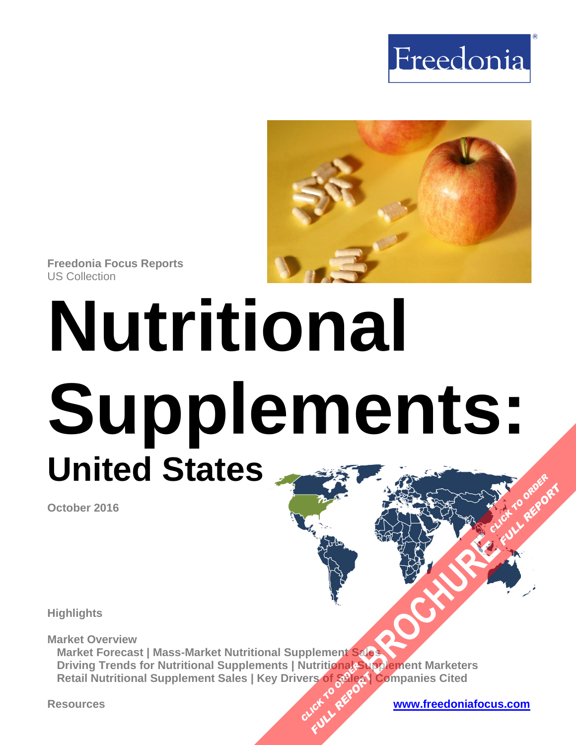



**Freedonia Focus Reports** US Collection

# **Nutritional Supplements: United States FULL REPORT**

**October 2016**

**Highlights**

**Market Overview Market Forecast | Mass-Market Nutritional Supplement Sales Driving Trends for Nutritional Supplements | Nutritional Supplement Marketers Retail Nutritional Supplement Sales | Key Drivers of Sales | Companies Cited BROWNER IN THE READER CLICK TO ASSESS**<br>**CLICK TO ASSESS**<br>CLICK TO REPORT **FE OF GREAT**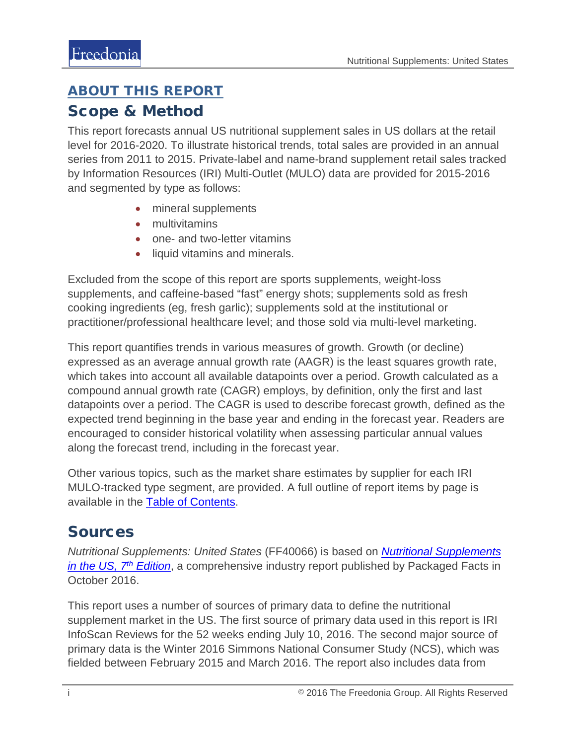## <span id="page-1-0"></span>ABOUT THIS REPORT

### Scope & Method

This report forecasts annual US nutritional supplement sales in US dollars at the retail level for 2016-2020. To illustrate historical trends, total sales are provided in an annual series from 2011 to 2015. Private-label and name-brand supplement retail sales tracked by Information Resources (IRI) Multi-Outlet (MULO) data are provided for 2015-2016 and segmented by type as follows:

- mineral supplements
- multivitamins
- one- and two-letter vitamins
- liquid vitamins and minerals.

Excluded from the scope of this report are sports supplements, weight-loss supplements, and caffeine-based "fast" energy shots; supplements sold as fresh cooking ingredients (eg, fresh garlic); supplements sold at the institutional or practitioner/professional healthcare level; and those sold via multi-level marketing.

This report quantifies trends in various measures of growth. Growth (or decline) expressed as an average annual growth rate (AAGR) is the least squares growth rate, which takes into account all available datapoints over a period. Growth calculated as a compound annual growth rate (CAGR) employs, by definition, only the first and last datapoints over a period. The CAGR is used to describe forecast growth, defined as the expected trend beginning in the base year and ending in the forecast year. Readers are encouraged to consider historical volatility when assessing particular annual values along the forecast trend, including in the forecast year.

Other various topics, such as the market share estimates by supplier for each IRI MULO-tracked type segment, are provided. A full outline of report items by page is available in the [Table of Contents.](#page-3-0)

## Sources

*Nutritional Supplements: United States* (FF40066) is based on *[Nutritional Supplements](http://www.packagedfacts.com/Nutritional-Supplements-Edition-10349711/)  [in the US, 7th](http://www.packagedfacts.com/Nutritional-Supplements-Edition-10349711/) Edition*, a comprehensive industry report published by Packaged Facts in October 2016.

This report uses a number of sources of primary data to define the nutritional supplement market in the US. The first source of primary data used in this report is IRI InfoScan Reviews for the 52 weeks ending July 10, 2016. The second major source of primary data is the Winter 2016 Simmons National Consumer Study (NCS), which was fielded between February 2015 and March 2016. The report also includes data from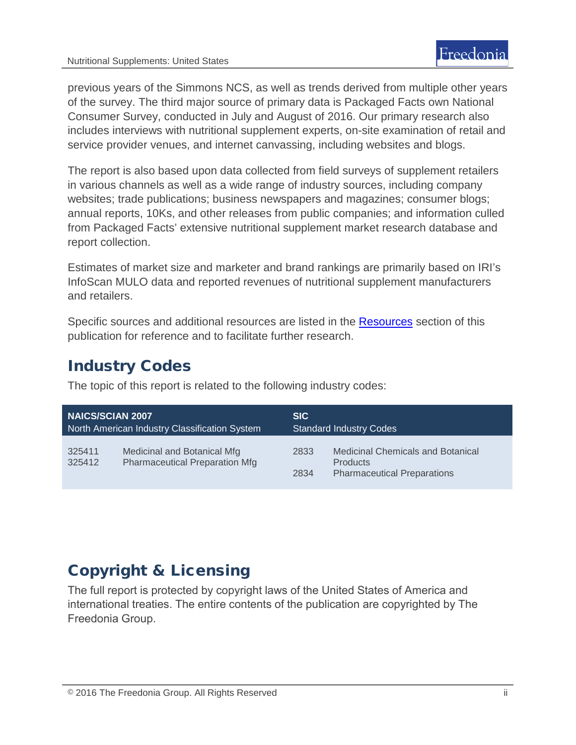previous years of the Simmons NCS, as well as trends derived from multiple other years of the survey. The third major source of primary data is Packaged Facts own National Consumer Survey, conducted in July and August of 2016. Our primary research also includes interviews with nutritional supplement experts, on-site examination of retail and service provider venues, and internet canvassing, including websites and blogs.

The report is also based upon data collected from field surveys of supplement retailers in various channels as well as a wide range of industry sources, including company websites; trade publications; business newspapers and magazines; consumer blogs; annual reports, 10Ks, and other releases from public companies; and information culled from Packaged Facts' extensive nutritional supplement market research database and report collection.

Estimates of market size and marketer and brand rankings are primarily based on IRI's InfoScan MULO data and reported revenues of nutritional supplement manufacturers and retailers.

Specific sources and additional resources are listed in the [Resources](#page-4-0) section of this publication for reference and to facilitate further research.

## Industry Codes

The topic of this report is related to the following industry codes:

| <b>NAICS/SCIAN 2007</b>                       |                                                                      | <b>SIC</b>                     |                                                                                                   |
|-----------------------------------------------|----------------------------------------------------------------------|--------------------------------|---------------------------------------------------------------------------------------------------|
| North American Industry Classification System |                                                                      | <b>Standard Industry Codes</b> |                                                                                                   |
| 325411<br>325412                              | Medicinal and Botanical Mfg<br><b>Pharmaceutical Preparation Mfg</b> | 2833<br>2834                   | <b>Medicinal Chemicals and Botanical</b><br><b>Products</b><br><b>Pharmaceutical Preparations</b> |

## Copyright & Licensing

The full report is protected by copyright laws of the United States of America and international treaties. The entire contents of the publication are copyrighted by The Freedonia Group.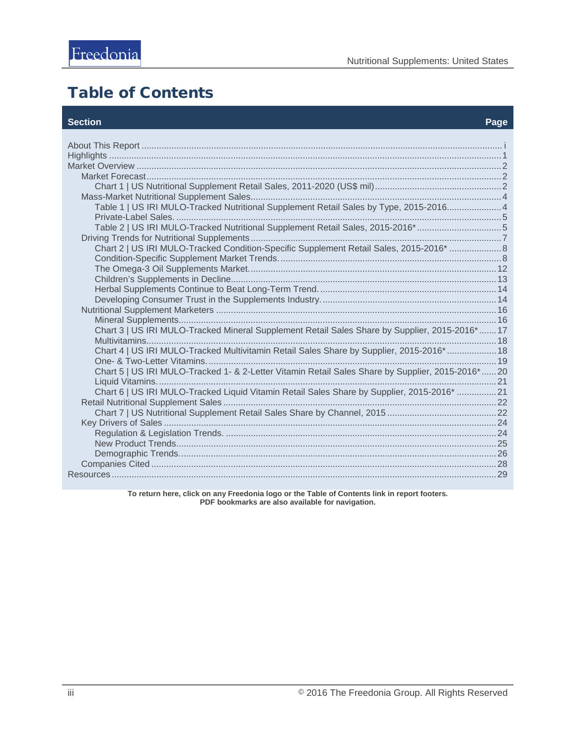## <span id="page-3-0"></span>Table of Contents

#### **Section Page**

| Table 1   US IRI MULO-Tracked Nutritional Supplement Retail Sales by Type, 2015-20164            |  |
|--------------------------------------------------------------------------------------------------|--|
|                                                                                                  |  |
| Table 2   US IRI MULO-Tracked Nutritional Supplement Retail Sales, 2015-2016* 5                  |  |
|                                                                                                  |  |
| Chart 2   US IRI MULO-Tracked Condition-Specific Supplement Retail Sales, 2015-2016*  8          |  |
|                                                                                                  |  |
|                                                                                                  |  |
|                                                                                                  |  |
|                                                                                                  |  |
|                                                                                                  |  |
|                                                                                                  |  |
|                                                                                                  |  |
| Chart 3   US IRI MULO-Tracked Mineral Supplement Retail Sales Share by Supplier, 2015-2016* 17   |  |
|                                                                                                  |  |
| Chart 4   US IRI MULO-Tracked Multivitamin Retail Sales Share by Supplier, 2015-2016*  18        |  |
|                                                                                                  |  |
| Chart 5   US IRI MULO-Tracked 1- & 2-Letter Vitamin Retail Sales Share by Supplier, 2015-2016*20 |  |
|                                                                                                  |  |
| Chart 6   US IRI MULO-Tracked Liquid Vitamin Retail Sales Share by Supplier, 2015-2016* 21       |  |
|                                                                                                  |  |
|                                                                                                  |  |
|                                                                                                  |  |
|                                                                                                  |  |
|                                                                                                  |  |
|                                                                                                  |  |
|                                                                                                  |  |
|                                                                                                  |  |

**To return here, click on any Freedonia logo or the Table of Contents link in report footers. PDF bookmarks are also available for navigation.**